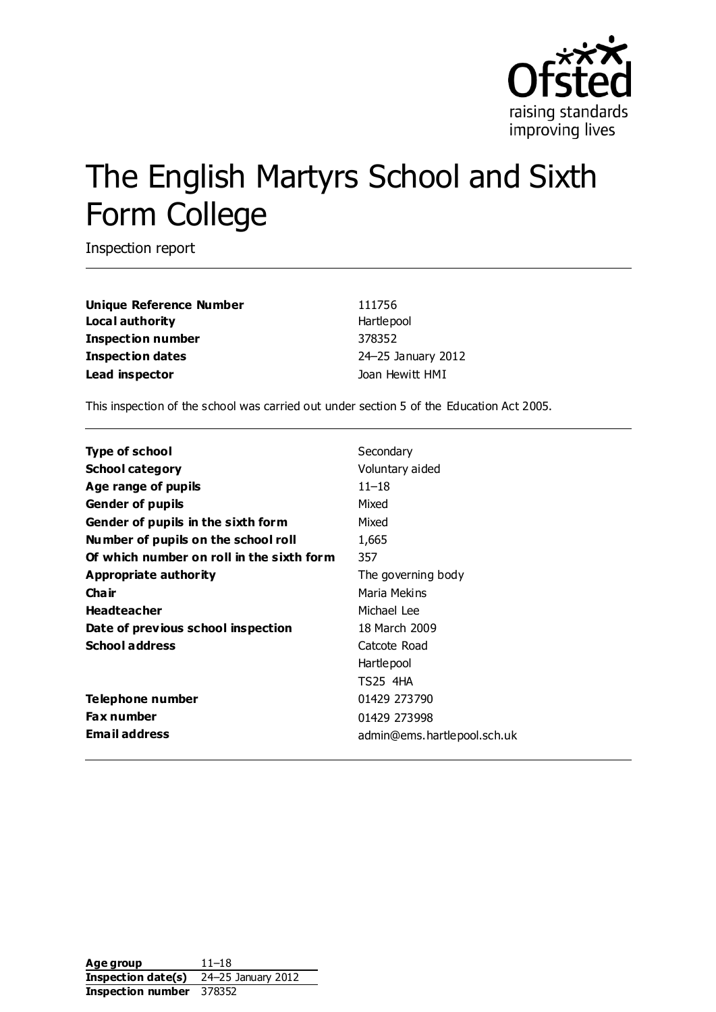

# The English Martyrs School and Sixth Form College

Inspection report

**Unique Reference Number** 111756 **Local authority Hartlepool Inspection number** 378352 **Inspection dates** 24–25 January 2012 Lead inspector and the set of the Joan Hewitt HMI

This inspection of the school was carried out under section 5 of the Education Act 2005.

| Secondary                   |
|-----------------------------|
| Voluntary aided             |
| $11 - 18$                   |
| Mixed                       |
| Mixed                       |
| 1,665                       |
| 357                         |
| The governing body          |
| Maria Mekins                |
| Michael Lee                 |
| 18 March 2009               |
| Catcote Road                |
| Hartlepool                  |
| TS25 4HA                    |
| 01429 273790                |
| 01429 273998                |
| admin@ems.hartlepool.sch.uk |
|                             |

**Age group** 11–18 **Inspection date(s)** 24–25 January 2012 **Inspection number** 378352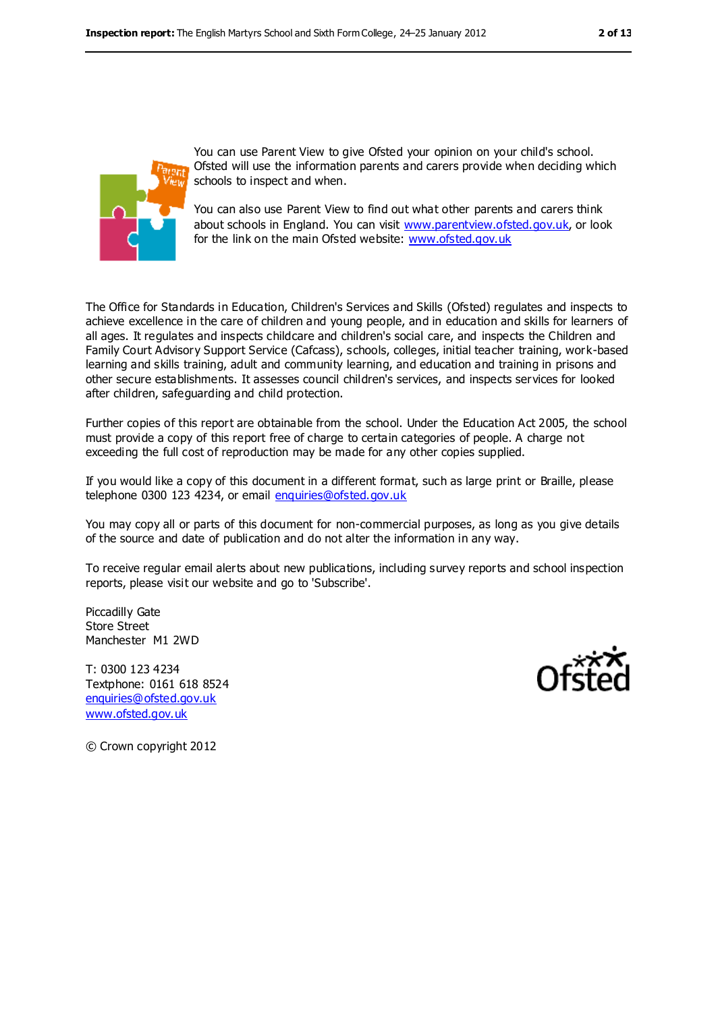

You can use Parent View to give Ofsted your opinion on your child's school. Ofsted will use the information parents and carers provide when deciding which schools to inspect and when.

You can also use Parent View to find out what other parents and carers think about schools in England. You can visit [www.parentview.ofsted.gov.uk,](../../../../../jhewitt/AppData/Local/Microsoft/Windows/Temporary%20Internet%20Files/Content.IE5/QN4DSE0E/www.parentview.ofsted.gov.uk) or look for the link on the main Ofsted website: [www.ofsted.gov.uk](../../../../../jhewitt/AppData/Local/Microsoft/Windows/Temporary%20Internet%20Files/Content.IE5/QN4DSE0E/www.ofsted.gov.uk)

The Office for Standards in Education, Children's Services and Skills (Ofsted) regulates and inspects to achieve excellence in the care of children and young people, and in education and skills for learners of all ages. It regulates and inspects childcare and children's social care, and inspects the Children and Family Court Advisory Support Service (Cafcass), schools, colleges, initial teacher training, work-based learning and skills training, adult and community learning, and education and training in prisons and other secure establishments. It assesses council children's services, and inspects services for looked after children, safeguarding and child protection.

Further copies of this report are obtainable from the school. Under the Education Act 2005, the school must provide a copy of this report free of charge to certain categories of people. A charge not exceeding the full cost of reproduction may be made for any other copies supplied.

If you would like a copy of this document in a different format, such as large print or Braille, please telephone 0300 123 4234, or email [enquiries@ofsted.gov.uk](mailto:enquiries@ofsted.gov.uk)

You may copy all or parts of this document for non-commercial purposes, as long as you give details of the source and date of publication and do not alter the information in any way.

To receive regular email alerts about new publications, including survey reports and school inspection reports, please visit our website and go to 'Subscribe'.

Piccadilly Gate Store Street Manchester M1 2WD

T: 0300 123 4234 Textphone: 0161 618 8524 [enquiries@ofsted.gov.uk](mailto:enquiries@ofsted.gov.uk) [www.ofsted.gov.uk](http://www.ofsted.gov.uk/)



© Crown copyright 2012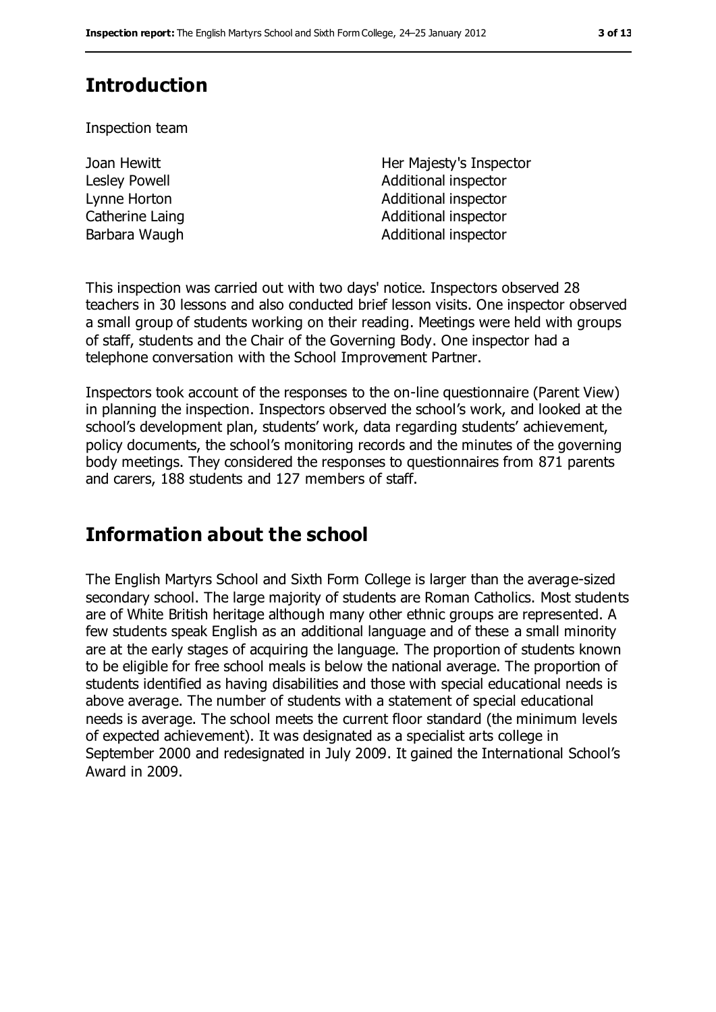# **Introduction**

Inspection team

Joan Hewitt Lesley Powell

Her Majesty's Inspector Additional inspector Lynne Horton **Additional** inspector Catherine Laing **Additional inspector** Barbara Waugh **Additional inspector** 

This inspection was carried out with two days' notice. Inspectors observed 28 teachers in 30 lessons and also conducted brief lesson visits. One inspector observed a small group of students working on their reading. Meetings were held with groups of staff, students and the Chair of the Governing Body. One inspector had a telephone conversation with the School Improvement Partner.

Inspectors took account of the responses to the on-line questionnaire (Parent View) in planning the inspection. Inspectors observed the school's work, and looked at the school's development plan, students' work, data regarding students' achievement, policy documents, the school's monitoring records and the minutes of the governing body meetings. They considered the responses to questionnaires from 871 parents and carers, 188 students and 127 members of staff.

## **Information about the school**

The English Martyrs School and Sixth Form College is larger than the average-sized secondary school. The large majority of students are Roman Catholics. Most students are of White British heritage although many other ethnic groups are represented. A few students speak English as an additional language and of these a small minority are at the early stages of acquiring the language. The proportion of students known to be eligible for free school meals is below the national average. The proportion of students identified as having disabilities and those with special educational needs is above average. The number of students with a statement of special educational needs is average. The school meets the current floor standard (the minimum levels of expected achievement). It was designated as a specialist arts college in September 2000 and redesignated in July 2009. It gained the International School's Award in 2009.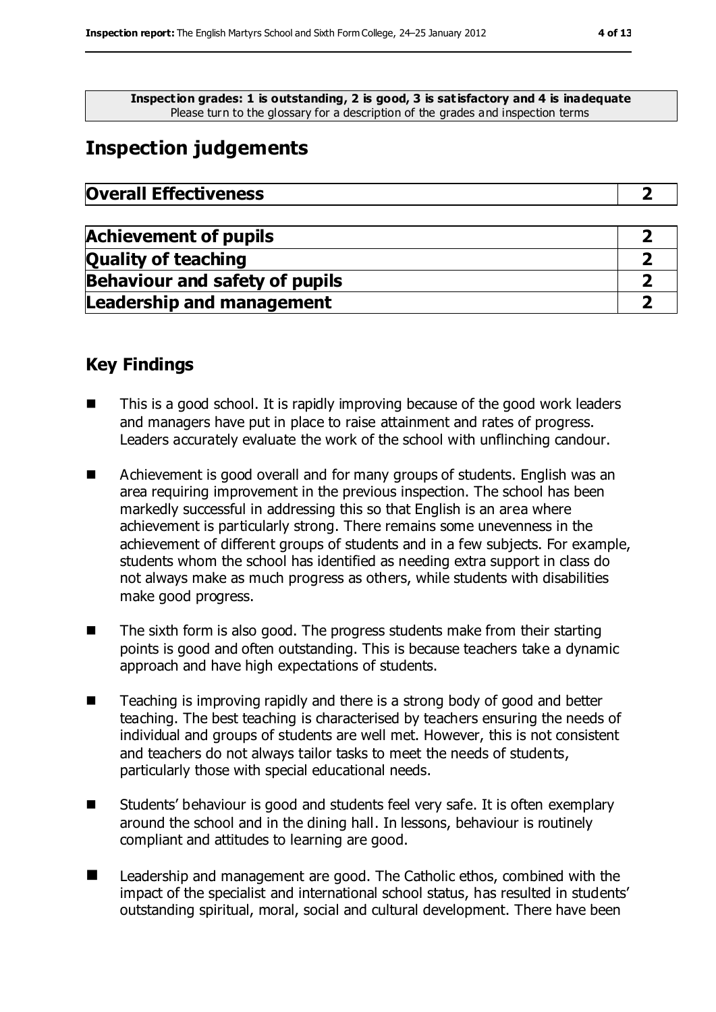**Inspection grades: 1 is outstanding, 2 is good, 3 is satisfactory and 4 is inadequate** Please turn to the glossary for a description of the grades and inspection terms

# **Inspection judgements**

| <b>Overall Effectiveness</b> |
|------------------------------|
|------------------------------|

| <b>Achievement of pupils</b>          |  |
|---------------------------------------|--|
| <b>Quality of teaching</b>            |  |
| <b>Behaviour and safety of pupils</b> |  |
| <b>Leadership and management</b>      |  |

## **Key Findings**

- $\blacksquare$  This is a good school. It is rapidly improving because of the good work leaders and managers have put in place to raise attainment and rates of progress. Leaders accurately evaluate the work of the school with unflinching candour.
- Achievement is good overall and for many groups of students. English was an area requiring improvement in the previous inspection. The school has been markedly successful in addressing this so that English is an area where achievement is particularly strong. There remains some unevenness in the achievement of different groups of students and in a few subjects. For example, students whom the school has identified as needing extra support in class do not always make as much progress as others, while students with disabilities make good progress.
- The sixth form is also good. The progress students make from their starting points is good and often outstanding. This is because teachers take a dynamic approach and have high expectations of students.
- Teaching is improving rapidly and there is a strong body of good and better teaching. The best teaching is characterised by teachers ensuring the needs of individual and groups of students are well met. However, this is not consistent and teachers do not always tailor tasks to meet the needs of students, particularly those with special educational needs.
- Students' behaviour is good and students feel very safe. It is often exemplary around the school and in the dining hall. In lessons, behaviour is routinely compliant and attitudes to learning are good.
- **Leadership and management are good. The Catholic ethos, combined with the** impact of the specialist and international school status, has resulted in students' outstanding spiritual, moral, social and cultural development. There have been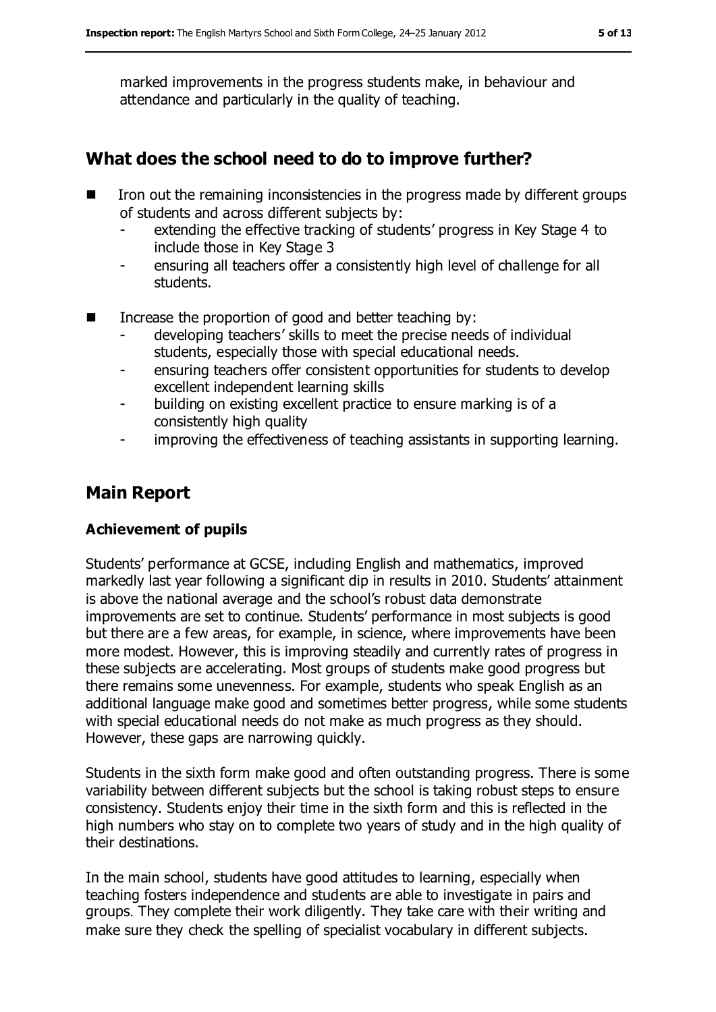marked improvements in the progress students make, in behaviour and attendance and particularly in the quality of teaching.

## **What does the school need to do to improve further?**

- $\blacksquare$  Iron out the remaining inconsistencies in the progress made by different groups of students and across different subjects by:
	- extending the effective tracking of students' progress in Key Stage 4 to include those in Key Stage 3
	- ensuring all teachers offer a consistently high level of challenge for all students.
- $\blacksquare$  Increase the proportion of good and better teaching by:
	- developing teachers' skills to meet the precise needs of individual students, especially those with special educational needs.
	- ensuring teachers offer consistent opportunities for students to develop excellent independent learning skills
	- building on existing excellent practice to ensure marking is of a consistently high quality
	- improving the effectiveness of teaching assistants in supporting learning.

## **Main Report**

#### **Achievement of pupils**

Students' performance at GCSE, including English and mathematics, improved markedly last year following a significant dip in results in 2010. Students' attainment is above the national average and the school's robust data demonstrate improvements are set to continue. Students' performance in most subjects is good but there are a few areas, for example, in science, where improvements have been more modest. However, this is improving steadily and currently rates of progress in these subjects are accelerating. Most groups of students make good progress but there remains some unevenness. For example, students who speak English as an additional language make good and sometimes better progress, while some students with special educational needs do not make as much progress as they should. However, these gaps are narrowing quickly.

Students in the sixth form make good and often outstanding progress. There is some variability between different subjects but the school is taking robust steps to ensure consistency. Students enjoy their time in the sixth form and this is reflected in the high numbers who stay on to complete two years of study and in the high quality of their destinations.

In the main school, students have good attitudes to learning, especially when teaching fosters independence and students are able to investigate in pairs and groups. They complete their work diligently. They take care with their writing and make sure they check the spelling of specialist vocabulary in different subjects.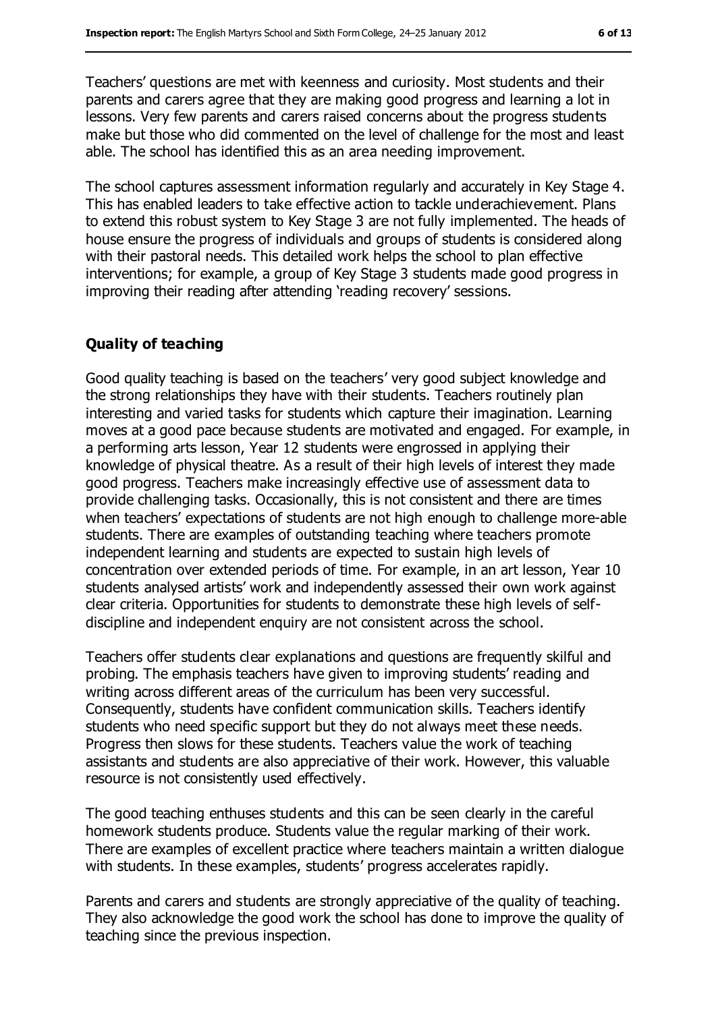Teachers' questions are met with keenness and curiosity. Most students and their parents and carers agree that they are making good progress and learning a lot in lessons. Very few parents and carers raised concerns about the progress students make but those who did commented on the level of challenge for the most and least able. The school has identified this as an area needing improvement.

The school captures assessment information regularly and accurately in Key Stage 4. This has enabled leaders to take effective action to tackle underachievement. Plans to extend this robust system to Key Stage 3 are not fully implemented. The heads of house ensure the progress of individuals and groups of students is considered along with their pastoral needs. This detailed work helps the school to plan effective interventions; for example, a group of Key Stage 3 students made good progress in improving their reading after attending 'reading recovery' sessions.

#### **Quality of teaching**

Good quality teaching is based on the teachers' very good subject knowledge and the strong relationships they have with their students. Teachers routinely plan interesting and varied tasks for students which capture their imagination. Learning moves at a good pace because students are motivated and engaged. For example, in a performing arts lesson, Year 12 students were engrossed in applying their knowledge of physical theatre. As a result of their high levels of interest they made good progress. Teachers make increasingly effective use of assessment data to provide challenging tasks. Occasionally, this is not consistent and there are times when teachers' expectations of students are not high enough to challenge more-able students. There are examples of outstanding teaching where teachers promote independent learning and students are expected to sustain high levels of concentration over extended periods of time. For example, in an art lesson, Year 10 students analysed artists' work and independently assessed their own work against clear criteria. Opportunities for students to demonstrate these high levels of selfdiscipline and independent enquiry are not consistent across the school.

Teachers offer students clear explanations and questions are frequently skilful and probing. The emphasis teachers have given to improving students' reading and writing across different areas of the curriculum has been very successful. Consequently, students have confident communication skills. Teachers identify students who need specific support but they do not always meet these needs. Progress then slows for these students. Teachers value the work of teaching assistants and students are also appreciative of their work. However, this valuable resource is not consistently used effectively.

The good teaching enthuses students and this can be seen clearly in the careful homework students produce. Students value the regular marking of their work. There are examples of excellent practice where teachers maintain a written dialogue with students. In these examples, students' progress accelerates rapidly.

Parents and carers and students are strongly appreciative of the quality of teaching. They also acknowledge the good work the school has done to improve the quality of teaching since the previous inspection.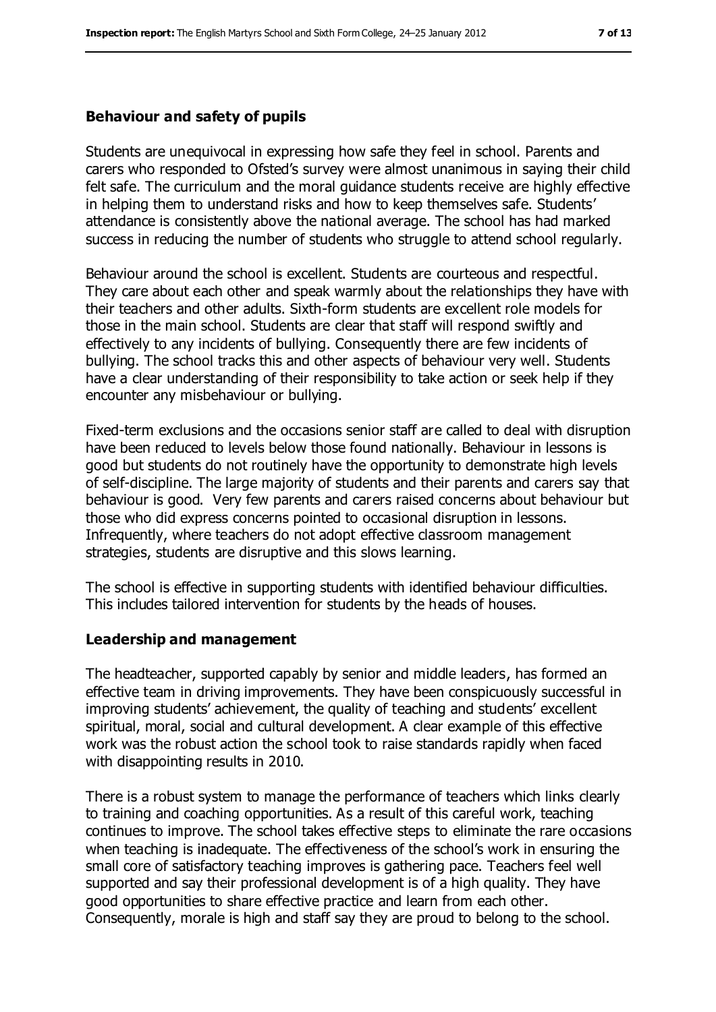#### **Behaviour and safety of pupils**

Students are unequivocal in expressing how safe they feel in school. Parents and carers who responded to Ofsted's survey were almost unanimous in saying their child felt safe. The curriculum and the moral guidance students receive are highly effective in helping them to understand risks and how to keep themselves safe. Students' attendance is consistently above the national average. The school has had marked success in reducing the number of students who struggle to attend school regularly.

Behaviour around the school is excellent. Students are courteous and respectful. They care about each other and speak warmly about the relationships they have with their teachers and other adults. Sixth-form students are excellent role models for those in the main school. Students are clear that staff will respond swiftly and effectively to any incidents of bullying. Consequently there are few incidents of bullying. The school tracks this and other aspects of behaviour very well. Students have a clear understanding of their responsibility to take action or seek help if they encounter any misbehaviour or bullying.

Fixed-term exclusions and the occasions senior staff are called to deal with disruption have been reduced to levels below those found nationally. Behaviour in lessons is good but students do not routinely have the opportunity to demonstrate high levels of self-discipline. The large majority of students and their parents and carers say that behaviour is good. Very few parents and carers raised concerns about behaviour but those who did express concerns pointed to occasional disruption in lessons. Infrequently, where teachers do not adopt effective classroom management strategies, students are disruptive and this slows learning.

The school is effective in supporting students with identified behaviour difficulties. This includes tailored intervention for students by the heads of houses.

#### **Leadership and management**

The headteacher, supported capably by senior and middle leaders, has formed an effective team in driving improvements. They have been conspicuously successful in improving students' achievement, the quality of teaching and students' excellent spiritual, moral, social and cultural development. A clear example of this effective work was the robust action the school took to raise standards rapidly when faced with disappointing results in 2010.

There is a robust system to manage the performance of teachers which links clearly to training and coaching opportunities. As a result of this careful work, teaching continues to improve. The school takes effective steps to eliminate the rare occasions when teaching is inadequate. The effectiveness of the school's work in ensuring the small core of satisfactory teaching improves is gathering pace. Teachers feel well supported and say their professional development is of a high quality. They have good opportunities to share effective practice and learn from each other. Consequently, morale is high and staff say they are proud to belong to the school.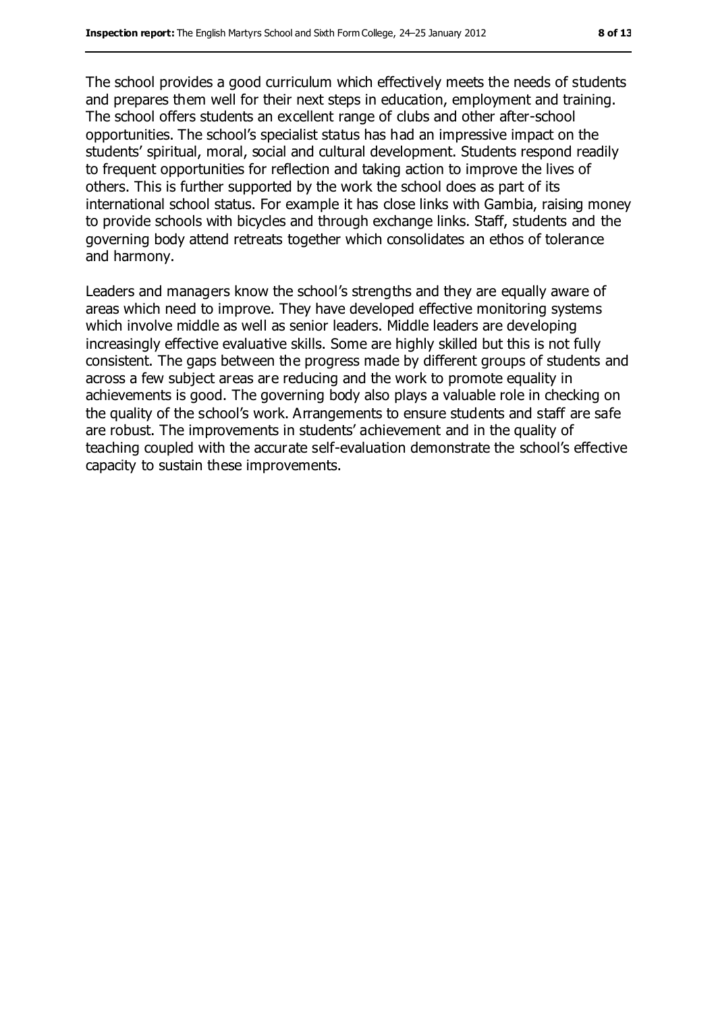The school provides a good curriculum which effectively meets the needs of students and prepares them well for their next steps in education, employment and training. The school offers students an excellent range of clubs and other after-school opportunities. The school's specialist status has had an impressive impact on the students' spiritual, moral, social and cultural development. Students respond readily to frequent opportunities for reflection and taking action to improve the lives of others. This is further supported by the work the school does as part of its international school status. For example it has close links with Gambia, raising money to provide schools with bicycles and through exchange links. Staff, students and the governing body attend retreats together which consolidates an ethos of tolerance and harmony.

Leaders and managers know the school's strengths and they are equally aware of areas which need to improve. They have developed effective monitoring systems which involve middle as well as senior leaders. Middle leaders are developing increasingly effective evaluative skills. Some are highly skilled but this is not fully consistent. The gaps between the progress made by different groups of students and across a few subject areas are reducing and the work to promote equality in achievements is good. The governing body also plays a valuable role in checking on the quality of the school's work. Arrangements to ensure students and staff are safe are robust. The improvements in students' achievement and in the quality of teaching coupled with the accurate self-evaluation demonstrate the school's effective capacity to sustain these improvements.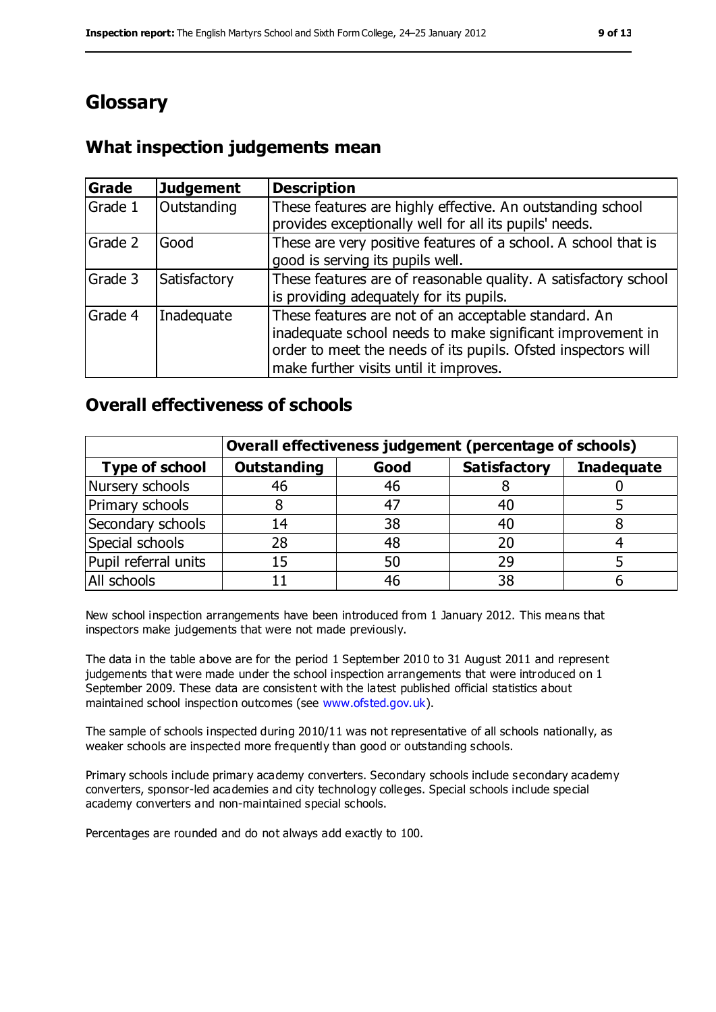# **Glossary**

## **What inspection judgements mean**

| Grade   | <b>Judgement</b> | <b>Description</b>                                                                                                                                                                                                            |
|---------|------------------|-------------------------------------------------------------------------------------------------------------------------------------------------------------------------------------------------------------------------------|
| Grade 1 | Outstanding      | These features are highly effective. An outstanding school<br>provides exceptionally well for all its pupils' needs.                                                                                                          |
| Grade 2 | Good             | These are very positive features of a school. A school that is<br>good is serving its pupils well.                                                                                                                            |
| Grade 3 | Satisfactory     | These features are of reasonable quality. A satisfactory school<br>is providing adequately for its pupils.                                                                                                                    |
| Grade 4 | Inadequate       | These features are not of an acceptable standard. An<br>inadequate school needs to make significant improvement in<br>order to meet the needs of its pupils. Ofsted inspectors will<br>make further visits until it improves. |

## **Overall effectiveness of schools**

|                       | Overall effectiveness judgement (percentage of schools) |      |                     |                   |  |
|-----------------------|---------------------------------------------------------|------|---------------------|-------------------|--|
| <b>Type of school</b> | <b>Outstanding</b>                                      | Good | <b>Satisfactory</b> | <b>Inadequate</b> |  |
| Nursery schools       | 46                                                      | 46   |                     |                   |  |
| Primary schools       | 8                                                       | 47   | 40                  |                   |  |
| Secondary schools     | 14                                                      | 38   | 40                  |                   |  |
| Special schools       | 28                                                      | 48   | 20                  |                   |  |
| Pupil referral units  | 15                                                      | 50   | 29                  |                   |  |
| All schools           |                                                         | 46   | 38                  |                   |  |

New school inspection arrangements have been introduced from 1 January 2012. This means that inspectors make judgements that were not made previously.

The data in the table above are for the period 1 September 2010 to 31 August 2011 and represent judgements that were made under the school inspection arrangements that were introduced on 1 September 2009. These data are consistent with the latest published official statistics about maintained school inspection outcomes (see [www.ofsted.gov.uk\)](../../../../../jhewitt/AppData/Local/Microsoft/Windows/Temporary%20Internet%20Files/Content.IE5/QN4DSE0E/www.ofsted.gov.uk).

The sample of schools inspected during 2010/11 was not representative of all schools nationally, as weaker schools are inspected more frequently than good or outstanding schools.

Primary schools include primary academy converters. Secondary schools include secondary academy converters, sponsor-led academies and city technology colleges. Special schools include special academy converters and non-maintained special schools.

Percentages are rounded and do not always add exactly to 100.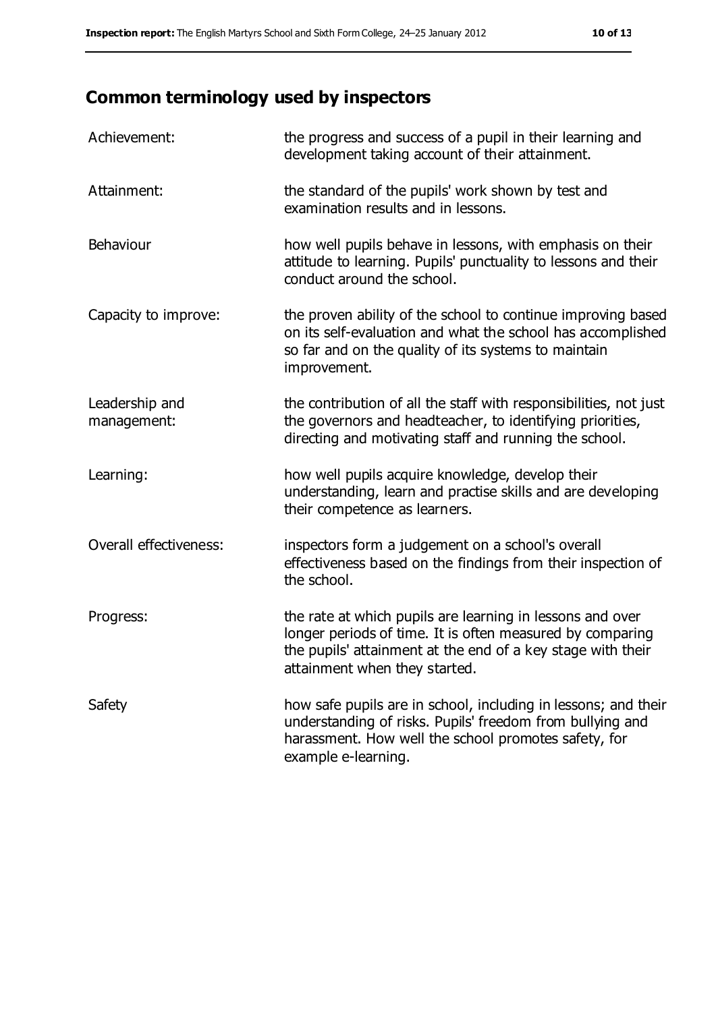# **Common terminology used by inspectors**

| Achievement:                  | the progress and success of a pupil in their learning and<br>development taking account of their attainment.                                                                                                           |
|-------------------------------|------------------------------------------------------------------------------------------------------------------------------------------------------------------------------------------------------------------------|
| Attainment:                   | the standard of the pupils' work shown by test and<br>examination results and in lessons.                                                                                                                              |
| Behaviour                     | how well pupils behave in lessons, with emphasis on their<br>attitude to learning. Pupils' punctuality to lessons and their<br>conduct around the school.                                                              |
| Capacity to improve:          | the proven ability of the school to continue improving based<br>on its self-evaluation and what the school has accomplished<br>so far and on the quality of its systems to maintain<br>improvement.                    |
| Leadership and<br>management: | the contribution of all the staff with responsibilities, not just<br>the governors and headteacher, to identifying priorities,<br>directing and motivating staff and running the school.                               |
| Learning:                     | how well pupils acquire knowledge, develop their<br>understanding, learn and practise skills and are developing<br>their competence as learners.                                                                       |
| Overall effectiveness:        | inspectors form a judgement on a school's overall<br>effectiveness based on the findings from their inspection of<br>the school.                                                                                       |
| Progress:                     | the rate at which pupils are learning in lessons and over<br>longer periods of time. It is often measured by comparing<br>the pupils' attainment at the end of a key stage with their<br>attainment when they started. |
| Safety                        | how safe pupils are in school, including in lessons; and their<br>understanding of risks. Pupils' freedom from bullying and<br>harassment. How well the school promotes safety, for<br>example e-learning.             |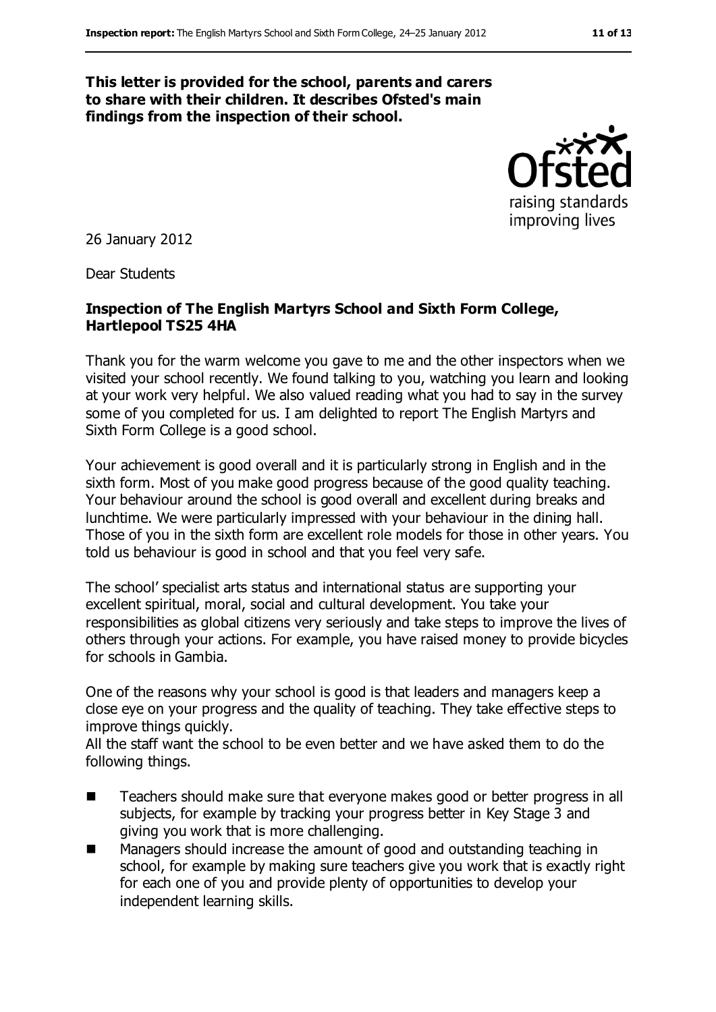#### **This letter is provided for the school, parents and carers to share with their children. It describes Ofsted's main findings from the inspection of their school.**



26 January 2012

Dear Students

#### **Inspection of The English Martyrs School and Sixth Form College, Hartlepool TS25 4HA**

Thank you for the warm welcome you gave to me and the other inspectors when we visited your school recently. We found talking to you, watching you learn and looking at your work very helpful. We also valued reading what you had to say in the survey some of you completed for us. I am delighted to report The English Martyrs and Sixth Form College is a good school.

Your achievement is good overall and it is particularly strong in English and in the sixth form. Most of you make good progress because of the good quality teaching. Your behaviour around the school is good overall and excellent during breaks and lunchtime. We were particularly impressed with your behaviour in the dining hall. Those of you in the sixth form are excellent role models for those in other years. You told us behaviour is good in school and that you feel very safe.

The school' specialist arts status and international status are supporting your excellent spiritual, moral, social and cultural development. You take your responsibilities as global citizens very seriously and take steps to improve the lives of others through your actions. For example, you have raised money to provide bicycles for schools in Gambia.

One of the reasons why your school is good is that leaders and managers keep a close eye on your progress and the quality of teaching. They take effective steps to improve things quickly.

All the staff want the school to be even better and we have asked them to do the following things.

- Teachers should make sure that everyone makes good or better progress in all subjects, for example by tracking your progress better in Key Stage 3 and giving you work that is more challenging.
- Managers should increase the amount of good and outstanding teaching in school, for example by making sure teachers give you work that is exactly right for each one of you and provide plenty of opportunities to develop your independent learning skills.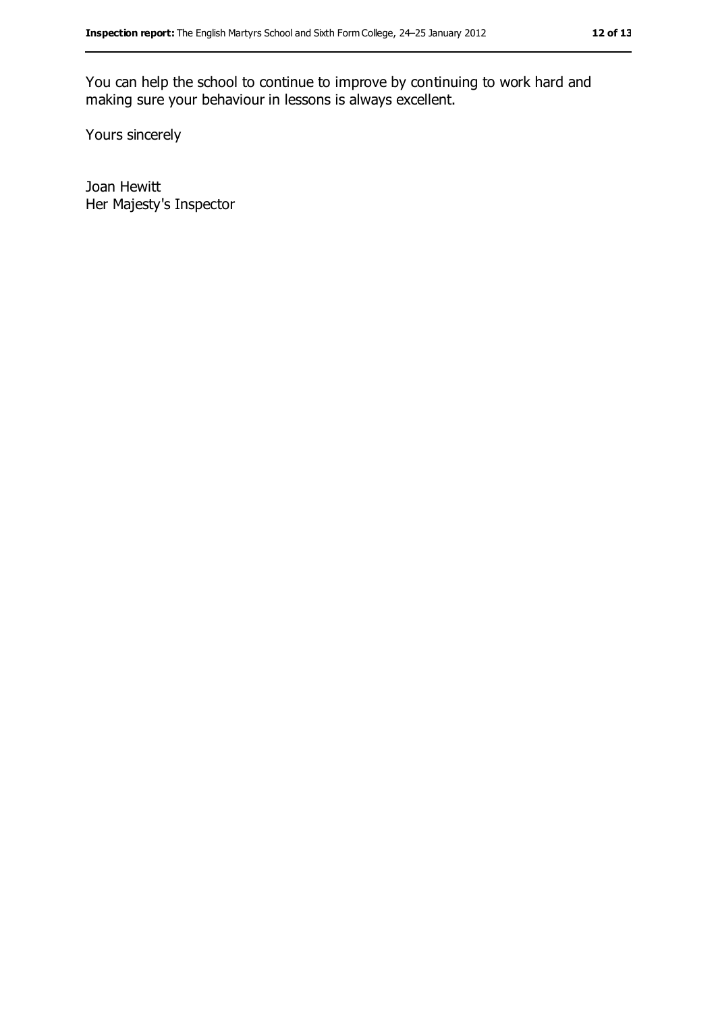You can help the school to continue to improve by continuing to work hard and making sure your behaviour in lessons is always excellent.

Yours sincerely

Joan Hewitt Her Majesty's Inspector